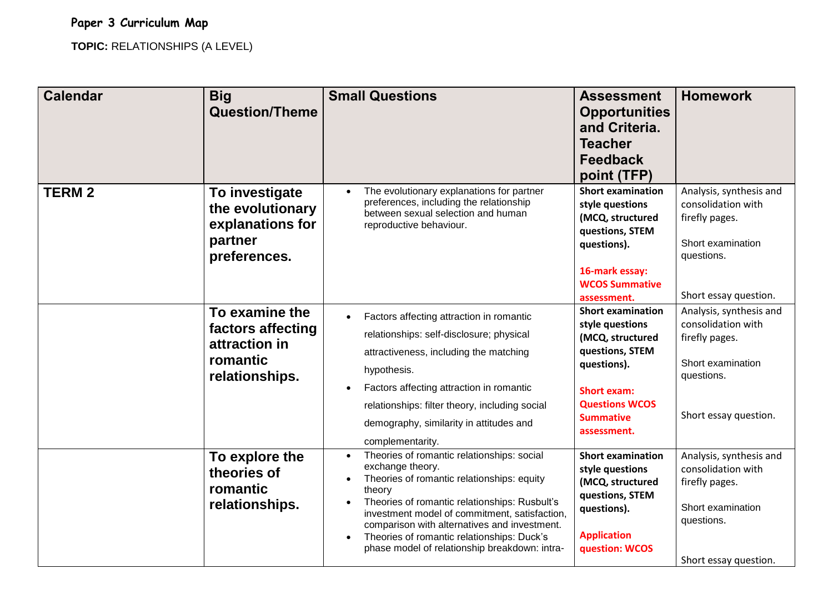## **Paper 3 Curriculum Map**

**TOPIC:** RELATIONSHIPS (A LEVEL)

| <b>Calendar</b> | <b>Big</b><br><b>Question/Theme</b>                                                | <b>Small Questions</b>                                                                                                                                                                                                                                                                                                                                                                                         | <b>Assessment</b><br><b>Opportunities</b><br>and Criteria.<br><b>Teacher</b><br><b>Feedback</b><br>point (TFP)                                                                      | <b>Homework</b>                                                                                                             |
|-----------------|------------------------------------------------------------------------------------|----------------------------------------------------------------------------------------------------------------------------------------------------------------------------------------------------------------------------------------------------------------------------------------------------------------------------------------------------------------------------------------------------------------|-------------------------------------------------------------------------------------------------------------------------------------------------------------------------------------|-----------------------------------------------------------------------------------------------------------------------------|
| <b>TERM2</b>    | To investigate<br>the evolutionary<br>explanations for<br>partner<br>preferences.  | The evolutionary explanations for partner<br>preferences, including the relationship<br>between sexual selection and human<br>reproductive behaviour.                                                                                                                                                                                                                                                          | <b>Short examination</b><br>style questions<br>(MCQ, structured<br>questions, STEM<br>questions).<br>16-mark essay:<br><b>WCOS Summative</b><br>assessment.                         | Analysis, synthesis and<br>consolidation with<br>firefly pages.<br>Short examination<br>questions.<br>Short essay question. |
|                 | To examine the<br>factors affecting<br>attraction in<br>romantic<br>relationships. | Factors affecting attraction in romantic<br>$\bullet$<br>relationships: self-disclosure; physical<br>attractiveness, including the matching<br>hypothesis.<br>Factors affecting attraction in romantic<br>$\bullet$<br>relationships: filter theory, including social<br>demography, similarity in attitudes and<br>complementarity.                                                                           | <b>Short examination</b><br>style questions<br>(MCQ, structured<br>questions, STEM<br>questions).<br><b>Short exam:</b><br><b>Questions WCOS</b><br><b>Summative</b><br>assessment. | Analysis, synthesis and<br>consolidation with<br>firefly pages.<br>Short examination<br>questions.<br>Short essay question. |
|                 | To explore the<br>theories of<br>romantic<br>relationships.                        | Theories of romantic relationships: social<br>$\bullet$<br>exchange theory.<br>Theories of romantic relationships: equity<br>$\bullet$<br>theory<br>Theories of romantic relationships: Rusbult's<br>investment model of commitment, satisfaction,<br>comparison with alternatives and investment.<br>Theories of romantic relationships: Duck's<br>$\bullet$<br>phase model of relationship breakdown: intra- | <b>Short examination</b><br>style questions<br>(MCQ, structured<br>questions, STEM<br>questions).<br><b>Application</b><br>question: WCOS                                           | Analysis, synthesis and<br>consolidation with<br>firefly pages.<br>Short examination<br>questions.<br>Short essay question. |